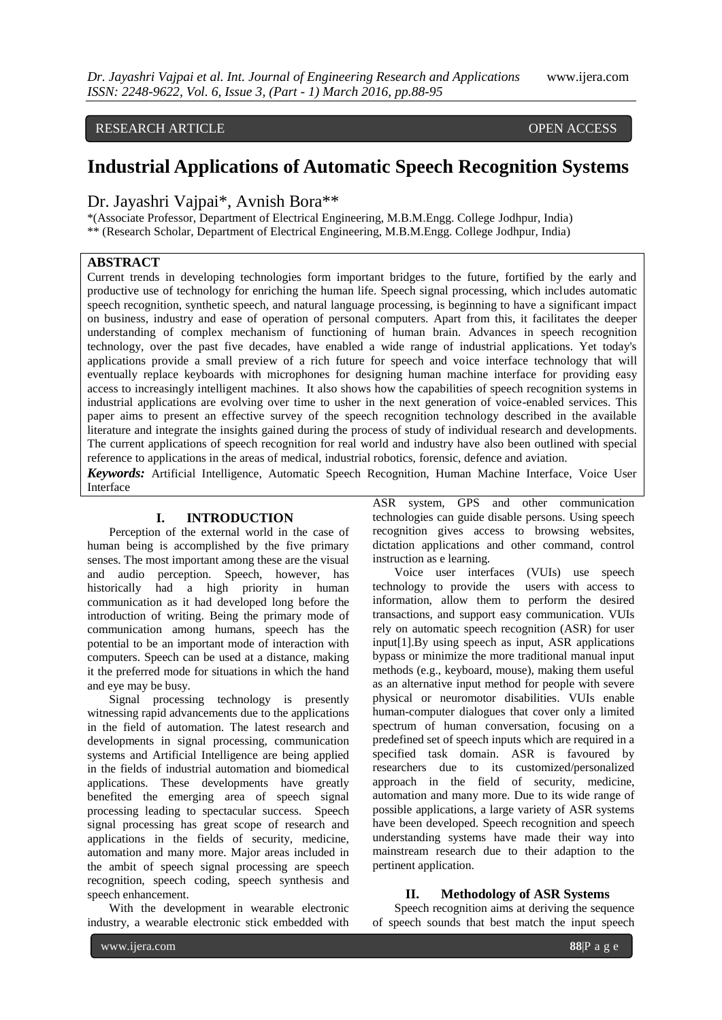# RESEARCH ARTICLE **CONSERVANCESS**

# **Industrial Applications of Automatic Speech Recognition Systems**

Dr. Jayashri Vajpai\*, Avnish Bora\*\*

\*(Associate Professor, Department of Electrical Engineering, M.B.M.Engg. College Jodhpur, India) \*\* (Research Scholar, Department of Electrical Engineering, M.B.M.Engg. College Jodhpur, India)

# **ABSTRACT**

Current trends in developing technologies form important bridges to the future, fortified by the early and productive use of technology for enriching the human life. Speech signal processing, which includes automatic speech recognition, synthetic speech, and natural language processing, is beginning to have a significant impact on business, industry and ease of operation of personal computers. Apart from this, it facilitates the deeper understanding of complex mechanism of functioning of human brain. Advances in speech recognition technology, over the past five decades, have enabled a wide range of industrial applications. Yet today's applications provide a small preview of a rich future for speech and voice interface technology that will eventually replace keyboards with microphones for designing human machine interface for providing easy access to increasingly intelligent machines. It also shows how the capabilities of speech recognition systems in industrial applications are evolving over time to usher in the next generation of voice-enabled services. This paper aims to present an effective survey of the speech recognition technology described in the available literature and integrate the insights gained during the process of study of individual research and developments. The current applications of speech recognition for real world and industry have also been outlined with special reference to applications in the areas of medical, industrial robotics, forensic, defence and aviation.

*Keywords:* Artificial Intelligence, Automatic Speech Recognition, Human Machine Interface, Voice User Interface

## **I. INTRODUCTION**

Perception of the external world in the case of human being is accomplished by the five primary senses. The most important among these are the visual and audio perception. Speech, however, has historically had a high priority in human communication as it had developed long before the introduction of writing. Being the primary mode of communication among humans, speech has the potential to be an important mode of interaction with computers. Speech can be used at a distance, making it the preferred mode for situations in which the hand and eye may be busy.

Signal processing technology is presently witnessing rapid advancements due to the applications in the field of automation. The latest research and developments in signal processing, communication systems and Artificial Intelligence are being applied in the fields of industrial automation and biomedical applications. These developments have greatly benefited the emerging area of speech signal processing leading to spectacular success. Speech signal processing has great scope of research and applications in the fields of security, medicine, automation and many more. Major areas included in the ambit of speech signal processing are speech recognition, speech coding, speech synthesis and speech enhancement.

With the development in wearable electronic industry, a wearable electronic stick embedded with

ASR system, GPS and other communication technologies can guide disable persons. Using speech recognition gives access to browsing websites, dictation applications and other command, control instruction as e learning.

Voice user interfaces (VUIs) use speech technology to provide the users with access to information, allow them to perform the desired transactions, and support easy communication. VUIs rely on automatic speech recognition (ASR) for user input[1].By using speech as input, ASR applications bypass or minimize the more traditional manual input methods (e.g., keyboard, mouse), making them useful as an alternative input method for people with severe physical or neuromotor disabilities. VUIs enable human-computer dialogues that cover only a limited spectrum of human conversation, focusing on a predefined set of speech inputs which are required in a specified task domain. ASR is favoured by researchers due to its customized/personalized approach in the field of security, medicine, automation and many more. Due to its wide range of possible applications, a large variety of ASR systems have been developed. Speech recognition and speech understanding systems have made their way into mainstream research due to their adaption to the pertinent application.

#### **II. Methodology of ASR Systems**

Speech recognition aims at deriving the sequence of speech sounds that best match the input speech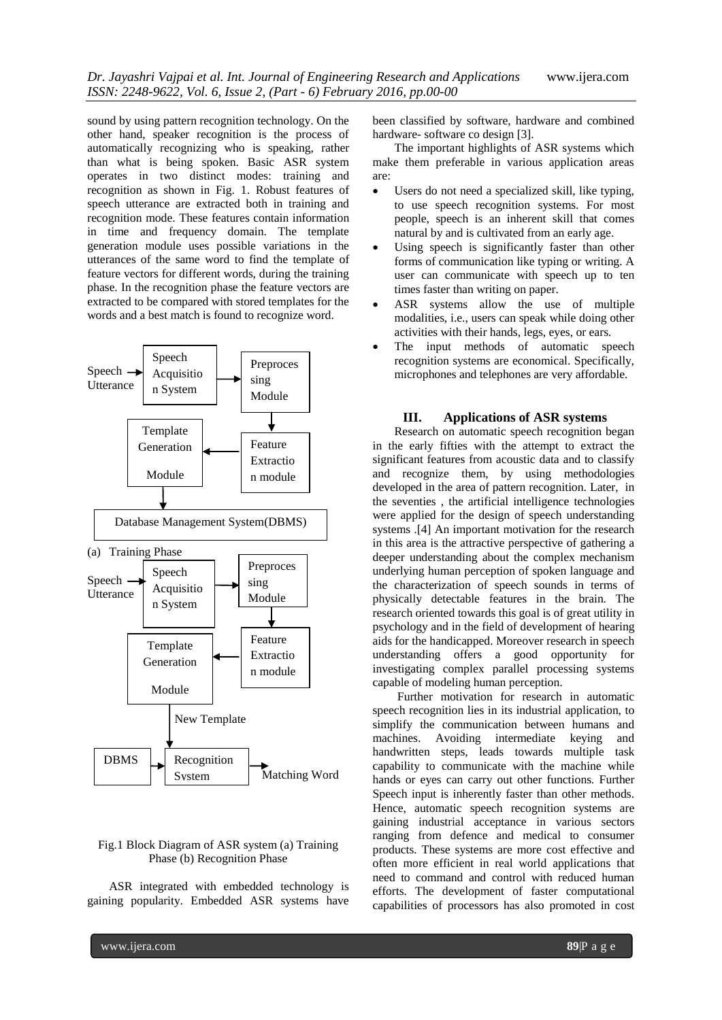sound by using pattern recognition technology. On the other hand, speaker recognition is the process of automatically recognizing who is speaking, rather than what is being spoken. Basic ASR system operates in two distinct modes: training and recognition as shown in Fig. 1. Robust features of speech utterance are extracted both in training and recognition mode. These features contain information in time and frequency domain. The template generation module uses possible variations in the utterances of the same word to find the template of feature vectors for different words, during the training phase. In the recognition phase the feature vectors are extracted to be compared with stored templates for the words and a best match is found to recognize word.



## Fig.1 Block Diagram of ASR system (a) Training Phase (b) Recognition Phase

ASR integrated with embedded technology is gaining popularity. Embedded ASR systems have

been classified by software, hardware and combined hardware- software co design [3].

The important highlights of ASR systems which make them preferable in various application areas are:

- Users do not need a specialized skill, like typing, to use speech recognition systems. For most people, speech is an inherent skill that comes natural by and is cultivated from an early age.
- Using speech is significantly faster than other forms of communication like typing or writing. A user can communicate with speech up to ten times faster than writing on paper.
- ASR systems allow the use of multiple modalities, i.e., users can speak while doing other activities with their hands, legs, eyes, or ears.
- The input methods of automatic speech recognition systems are economical. Specifically, microphones and telephones are very affordable.

## **III. Applications of ASR systems**

Research on automatic speech recognition began in the early fifties with the attempt to extract the significant features from acoustic data and to classify and recognize them, by using methodologies developed in the area of pattern recognition. Later, in the seventies , the artificial intelligence technologies were applied for the design of speech understanding systems .[4] An important motivation for the research in this area is the attractive perspective of gathering a deeper understanding about the complex mechanism underlying human perception of spoken language and the characterization of speech sounds in terms of physically detectable features in the brain. The research oriented towards this goal is of great utility in psychology and in the field of development of hearing aids for the handicapped. Moreover research in speech understanding offers a good opportunity for investigating complex parallel processing systems capable of modeling human perception.

Further motivation for research in automatic speech recognition lies in its industrial application, to simplify the communication between humans and machines. Avoiding intermediate keying and handwritten steps, leads towards multiple task capability to communicate with the machine while hands or eyes can carry out other functions. Further Speech input is inherently faster than other methods. Hence, automatic speech recognition systems are gaining industrial acceptance in various sectors ranging from defence and medical to consumer products. These systems are more cost effective and often more efficient in real world applications that need to command and control with reduced human efforts. The development of faster computational capabilities of processors has also promoted in cost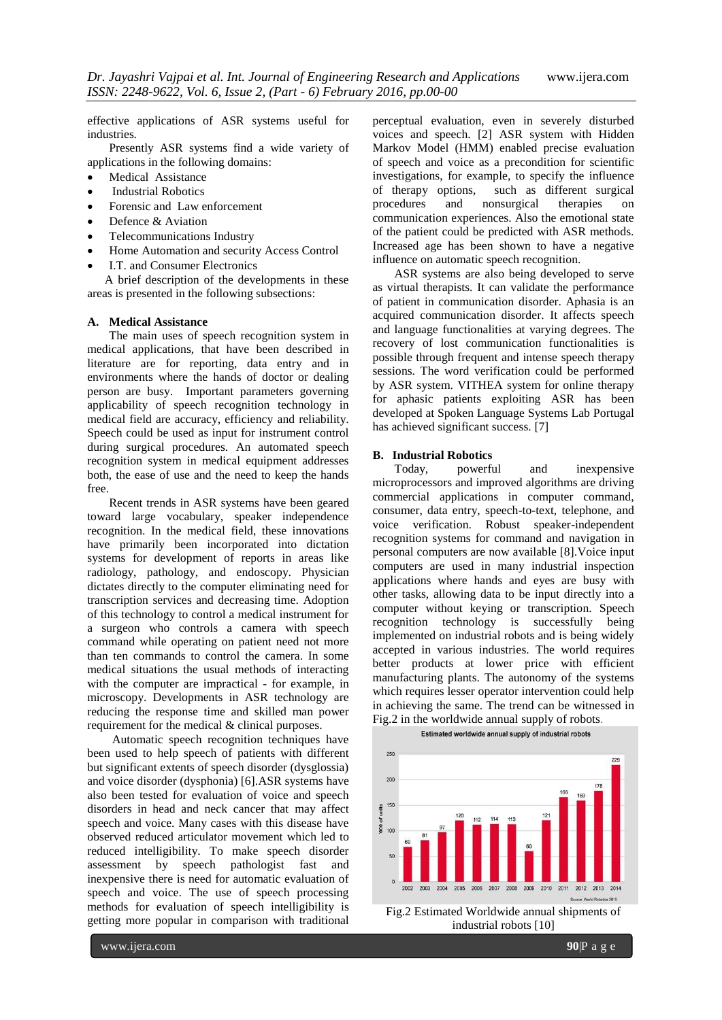effective applications of ASR systems useful for industries.

Presently ASR systems find a wide variety of applications in the following domains:

- Medical Assistance
- Industrial Robotics
- Forensic and Law enforcement
- Defence & Aviation
- Telecommunications Industry
- Home Automation and security Access Control
- I.T. and Consumer Electronics

A brief description of the developments in these areas is presented in the following subsections:

#### **A. Medical Assistance**

The main uses of speech recognition system in medical applications, that have been described in literature are for reporting, data entry and in environments where the hands of doctor or dealing person are busy. Important parameters governing applicability of speech recognition technology in medical field are accuracy, efficiency and reliability. Speech could be used as input for instrument control during surgical procedures. An automated speech recognition system in medical equipment addresses both, the ease of use and the need to keep the hands free.

Recent trends in ASR systems have been geared toward large vocabulary, speaker independence recognition. In the medical field, these innovations have primarily been incorporated into dictation systems for development of reports in areas like radiology, pathology, and endoscopy. Physician dictates directly to the computer eliminating need for transcription services and decreasing time. Adoption of this technology to control a medical instrument for a surgeon who controls a camera with speech command while operating on patient need not more than ten commands to control the camera. In some medical situations the usual methods of interacting with the computer are impractical - for example, in microscopy. Developments in ASR technology are reducing the response time and skilled man power requirement for the medical & clinical purposes.

Automatic speech recognition techniques have been used to help speech of patients with different but significant extents of speech disorder (dysglossia) and voice disorder (dysphonia) [6].ASR systems have also been tested for evaluation of voice and speech disorders in head and neck cancer that may affect speech and voice. Many cases with this disease have observed reduced articulator movement which led to reduced intelligibility. To make speech disorder assessment by speech pathologist fast and inexpensive there is need for automatic evaluation of speech and voice. The use of speech processing methods for evaluation of speech intelligibility is getting more popular in comparison with traditional

perceptual evaluation, even in severely disturbed voices and speech. [2] ASR system with Hidden Markov Model (HMM) enabled precise evaluation of speech and voice as a precondition for scientific investigations, for example, to specify the influence of therapy options, such as different surgical and nonsurgical therapies on communication experiences. Also the emotional state of the patient could be predicted with ASR methods. Increased age has been shown to have a negative influence on automatic speech recognition.

ASR systems are also being developed to serve as virtual therapists. It can validate the performance of patient in communication disorder. Aphasia is an acquired communication disorder. It affects speech and language functionalities at varying degrees. The recovery of lost communication functionalities is possible through frequent and intense speech therapy sessions. The word verification could be performed by ASR system. VITHEA system for online therapy for aphasic patients exploiting ASR has been developed at Spoken Language Systems Lab Portugal has achieved significant success. [7]

#### **B. Industrial Robotics**

Today, powerful and inexpensive microprocessors and improved algorithms are driving commercial applications in computer command, consumer, data entry, speech-to-text, telephone, and voice verification. Robust speaker-independent recognition systems for command and navigation in personal computers are now available [8].Voice input computers are used in many industrial inspection applications where hands and eyes are busy with other tasks, allowing data to be input directly into a computer without keying or transcription. Speech recognition technology is successfully being implemented on industrial robots and is being widely accepted in various industries. The world requires better products at lower price with efficient manufacturing plants. The autonomy of the systems which requires lesser operator intervention could help in achieving the same. The trend can be witnessed in Fig.2 in the worldwide annual supply of robots.



Fig.2 Estimated Worldwide annual shipments of industrial robots [10]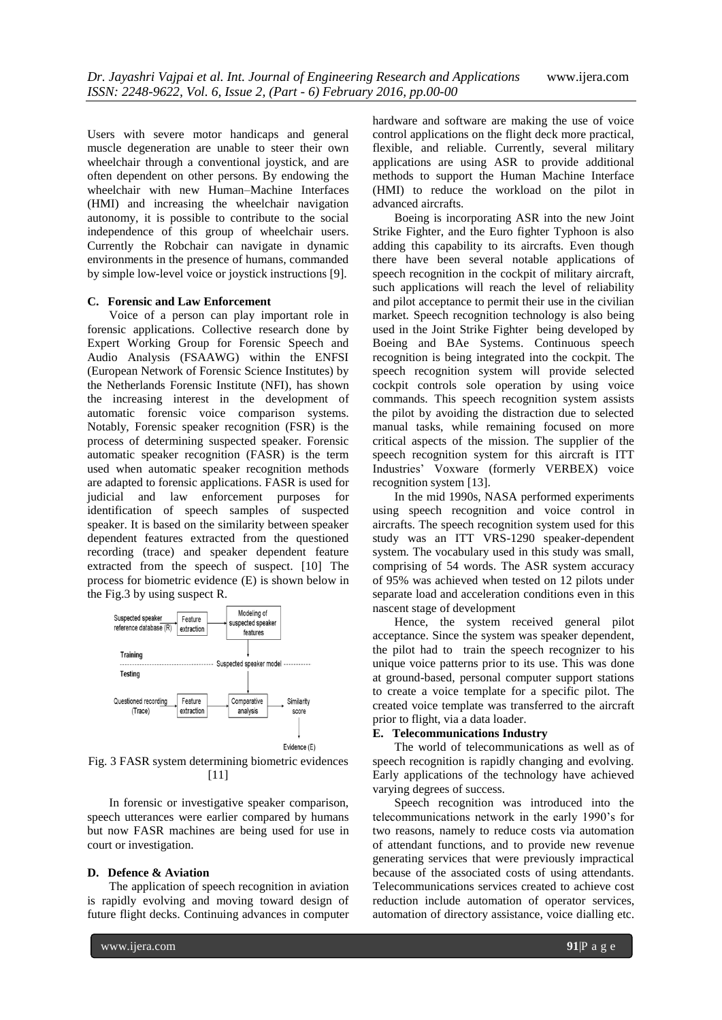Users with severe motor handicaps and general muscle degeneration are unable to steer their own wheelchair through a conventional joystick, and are often dependent on other persons. By endowing the wheelchair with new Human–Machine Interfaces (HMI) and increasing the wheelchair navigation autonomy, it is possible to contribute to the social independence of this group of wheelchair users. Currently the Robchair can navigate in dynamic environments in the presence of humans, commanded by simple low-level voice or joystick instructions [9].

#### **C. Forensic and Law Enforcement**

Voice of a person can play important role in forensic applications. Collective research done by Expert Working Group for Forensic Speech and Audio Analysis (FSAAWG) within the ENFSI (European Network of Forensic Science Institutes) by the Netherlands Forensic Institute (NFI), has shown the increasing interest in the development of automatic forensic voice comparison systems. Notably, Forensic speaker recognition (FSR) is the process of determining suspected speaker. Forensic automatic speaker recognition (FASR) is the term used when automatic speaker recognition methods are adapted to forensic applications. FASR is used for judicial and law enforcement purposes for identification of speech samples of suspected speaker. It is based on the similarity between speaker dependent features extracted from the questioned recording (trace) and speaker dependent feature extracted from the speech of suspect. [10] The process for biometric evidence (E) is shown below in the Fig.3 by using suspect R.



Fig. 3 FASR system determining biometric evidences  $[11]$ 

In forensic or investigative speaker comparison, speech utterances were earlier compared by humans but now FASR machines are being used for use in court or investigation.

#### **D. Defence & Aviation**

The application of speech recognition in aviation is rapidly evolving and moving toward design of future flight decks. Continuing advances in computer hardware and software are making the use of voice control applications on the flight deck more practical, flexible, and reliable. Currently, several military applications are using ASR to provide additional methods to support the Human Machine Interface (HMI) to reduce the workload on the pilot in advanced aircrafts.

Boeing is incorporating ASR into the new Joint Strike Fighter, and the Euro fighter Typhoon is also adding this capability to its aircrafts. Even though there have been several notable applications of speech recognition in the cockpit of military aircraft, such applications will reach the level of reliability and pilot acceptance to permit their use in the civilian market. Speech recognition technology is also being used in the Joint Strike Fighter being developed by Boeing and BAe Systems. Continuous speech recognition is being integrated into the cockpit. The speech recognition system will provide selected cockpit controls sole operation by using voice commands. This speech recognition system assists the pilot by avoiding the distraction due to selected manual tasks, while remaining focused on more critical aspects of the mission. The supplier of the speech recognition system for this aircraft is ITT Industries' Voxware (formerly VERBEX) voice recognition system [13].

In the mid 1990s, NASA performed experiments using speech recognition and voice control in aircrafts. The speech recognition system used for this study was an ITT VRS-1290 speaker-dependent system. The vocabulary used in this study was small, comprising of 54 words. The ASR system accuracy of 95% was achieved when tested on 12 pilots under separate load and acceleration conditions even in this nascent stage of development

Hence, the system received general pilot acceptance. Since the system was speaker dependent, the pilot had to train the speech recognizer to his unique voice patterns prior to its use. This was done at ground-based, personal computer support stations to create a voice template for a specific pilot. The created voice template was transferred to the aircraft prior to flight, via a data loader.

#### **E. Telecommunications Industry**

The world of telecommunications as well as of speech recognition is rapidly changing and evolving. Early applications of the technology have achieved varying degrees of success.

Speech recognition was introduced into the telecommunications network in the early 1990's for two reasons, namely to reduce costs via automation of attendant functions, and to provide new revenue generating services that were previously impractical because of the associated costs of using attendants. Telecommunications services created to achieve cost reduction include automation of operator services, automation of directory assistance, voice dialling etc.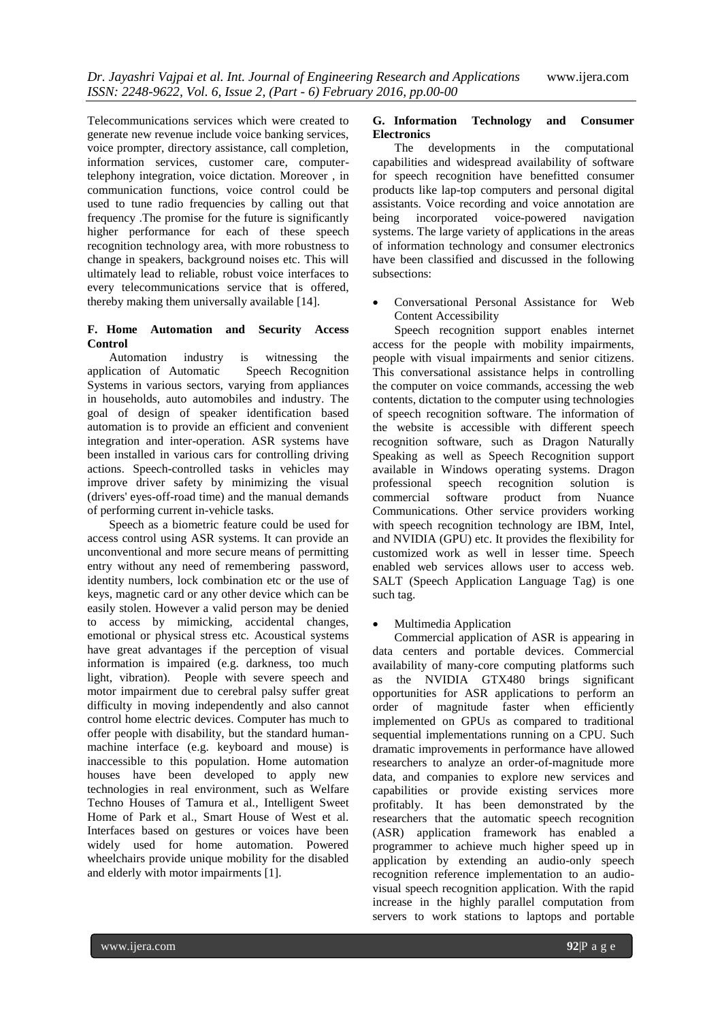Telecommunications services which were created to generate new revenue include voice banking services, voice prompter, directory assistance, call completion, information services, customer care, computertelephony integration, voice dictation. Moreover , in communication functions, voice control could be used to tune radio frequencies by calling out that frequency .The promise for the future is significantly higher performance for each of these speech recognition technology area, with more robustness to change in speakers, background noises etc. This will ultimately lead to reliable, robust voice interfaces to every telecommunications service that is offered, thereby making them universally available [14].

## **F. Home Automation and Security Access Control**

Automation industry is witnessing the application of Automatic Speech Recognition Systems in various sectors, varying from appliances in households, auto automobiles and industry. The goal of design of speaker identification based automation is to provide an efficient and convenient integration and inter-operation. ASR systems have been installed in various cars for controlling driving actions. Speech-controlled tasks in vehicles may improve driver safety by minimizing the visual (drivers' eyes-off-road time) and the manual demands of performing current in-vehicle tasks.

Speech as a biometric feature could be used for access control using ASR systems. It can provide an unconventional and more secure means of permitting entry without any need of remembering password, identity numbers, lock combination etc or the use of keys, magnetic card or any other device which can be easily stolen. However a valid person may be denied to access by mimicking, accidental changes, emotional or physical stress etc. Acoustical systems have great advantages if the perception of visual information is impaired (e.g. darkness, too much light, vibration). People with severe speech and motor impairment due to cerebral palsy suffer great difficulty in moving independently and also cannot control home electric devices. Computer has much to offer people with disability, but the standard humanmachine interface (e.g. keyboard and mouse) is inaccessible to this population. Home automation houses have been developed to apply new technologies in real environment, such as Welfare Techno Houses of Tamura et al., Intelligent Sweet Home of Park et al., Smart House of West et al. Interfaces based on gestures or voices have been widely used for home automation. Powered wheelchairs provide unique mobility for the disabled and elderly with motor impairments [1].

## **G. Information Technology and Consumer Electronics**

The developments in the computational capabilities and widespread availability of software for speech recognition have benefitted consumer products like lap-top computers and personal digital assistants. Voice recording and voice annotation are<br>being incorporated voice-powered navigation being incorporated voice-powered systems. The large variety of applications in the areas of information technology and consumer electronics have been classified and discussed in the following subsections:

 Conversational Personal Assistance for Web Content Accessibility

Speech recognition support enables internet access for the people with mobility impairments, people with visual impairments and senior citizens. This conversational assistance helps in controlling the computer on voice commands, accessing the web contents, dictation to the computer using technologies of speech recognition software. The information of the website is accessible with different speech recognition software, such as Dragon Naturally Speaking as well as Speech Recognition support available in Windows operating systems. Dragon professional speech recognition solution is commercial software product from Nuance Communications. Other service providers working with speech recognition technology are IBM, Intel, and NVIDIA (GPU) etc. It provides the flexibility for customized work as well in lesser time. Speech enabled web services allows user to access web. SALT (Speech Application Language Tag) is one such tag.

Multimedia Application

Commercial application of ASR is appearing in data centers and portable devices. Commercial availability of many-core computing platforms such as the NVIDIA GTX480 brings significant opportunities for ASR applications to perform an order of magnitude faster when efficiently implemented on GPUs as compared to traditional sequential implementations running on a CPU. Such dramatic improvements in performance have allowed researchers to analyze an order-of-magnitude more data, and companies to explore new services and capabilities or provide existing services more profitably. It has been demonstrated by the researchers that the automatic speech recognition (ASR) application framework has enabled a programmer to achieve much higher speed up in application by extending an audio-only speech recognition reference implementation to an audiovisual speech recognition application. With the rapid increase in the highly parallel computation from servers to work stations to laptops and portable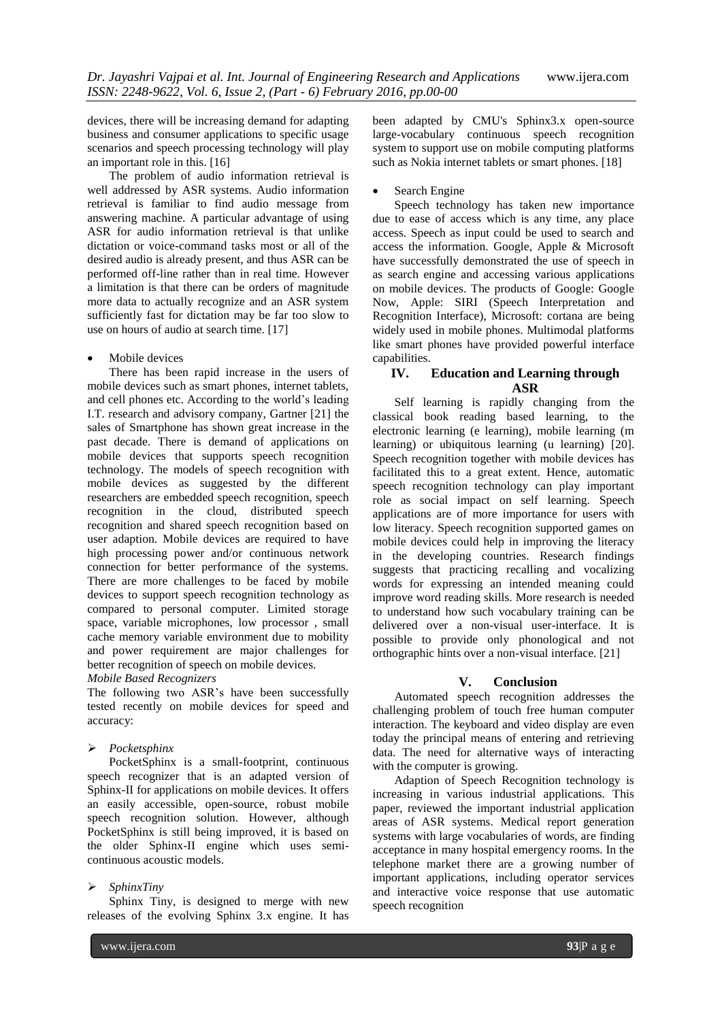devices, there will be increasing demand for adapting business and consumer applications to specific usage scenarios and speech processing technology will play an important role in this. [16]

The problem of audio information retrieval is well addressed by ASR systems. Audio information retrieval is familiar to find audio message from answering machine. A particular advantage of using ASR for audio information retrieval is that unlike dictation or voice-command tasks most or all of the desired audio is already present, and thus ASR can be performed off-line rather than in real time. However a limitation is that there can be orders of magnitude more data to actually recognize and an ASR system sufficiently fast for dictation may be far too slow to use on hours of audio at search time. [17]

## Mobile devices

There has been rapid increase in the users of mobile devices such as smart phones, internet tablets, and cell phones etc. According to the world's leading I.T. research and advisory company, Gartner [21] the sales of Smartphone has shown great increase in the past decade. There is demand of applications on mobile devices that supports speech recognition technology. The models of speech recognition with mobile devices as suggested by the different researchers are embedded speech recognition, speech recognition in the cloud, distributed speech recognition and shared speech recognition based on user adaption. Mobile devices are required to have high processing power and/or continuous network connection for better performance of the systems. There are more challenges to be faced by mobile devices to support speech recognition technology as compared to personal computer. Limited storage space, variable microphones, low processor , small cache memory variable environment due to mobility and power requirement are major challenges for better recognition of speech on mobile devices.

#### *Mobile Based Recognizers*

The following two ASR's have been successfully tested recently on mobile devices for speed and accuracy:

## *Pocketsphinx*

PocketSphinx is a small-footprint, continuous speech recognizer that is an adapted version of Sphinx-II for applications on mobile devices. It offers an easily accessible, open-source, robust mobile speech recognition solution. However, although PocketSphinx is still being improved, it is based on the older Sphinx-II engine which uses semicontinuous acoustic models.

## *SphinxTiny*

Sphinx Tiny, is designed to merge with new releases of the evolving Sphinx 3.x engine. It has

been adapted by CMU's Sphinx3.x open-source large-vocabulary continuous speech recognition system to support use on mobile computing platforms such as Nokia internet tablets or smart phones. [18]

## Search Engine

Speech technology has taken new importance due to ease of access which is any time, any place access. Speech as input could be used to search and access the information. Google, Apple & Microsoft have successfully demonstrated the use of speech in as search engine and accessing various applications on mobile devices. The products of Google: Google Now, Apple: SIRI (Speech Interpretation and Recognition Interface), Microsoft: cortana are being widely used in mobile phones. Multimodal platforms like smart phones have provided powerful interface capabilities.

# **IV. Education and Learning through ASR**

Self learning is rapidly changing from the classical book reading based learning, to the electronic learning (e learning), mobile learning (m learning) or ubiquitous learning (u learning) [20]. Speech recognition together with mobile devices has facilitated this to a great extent. Hence, automatic speech recognition technology can play important role as social impact on self learning. Speech applications are of more importance for users with low literacy. Speech recognition supported games on mobile devices could help in improving the literacy in the developing countries. Research findings suggests that practicing recalling and vocalizing words for expressing an intended meaning could improve word reading skills. More research is needed to understand how such vocabulary training can be delivered over a non-visual user-interface. It is possible to provide only phonological and not orthographic hints over a non-visual interface. [21]

## **V. Conclusion**

Automated speech recognition addresses the challenging problem of touch free human computer interaction. The keyboard and video display are even today the principal means of entering and retrieving data. The need for alternative ways of interacting with the computer is growing.

Adaption of Speech Recognition technology is increasing in various industrial applications. This paper, reviewed the important industrial application areas of ASR systems. Medical report generation systems with large vocabularies of words, are finding acceptance in many hospital emergency rooms. In the telephone market there are a growing number of important applications, including operator services and interactive voice response that use automatic speech recognition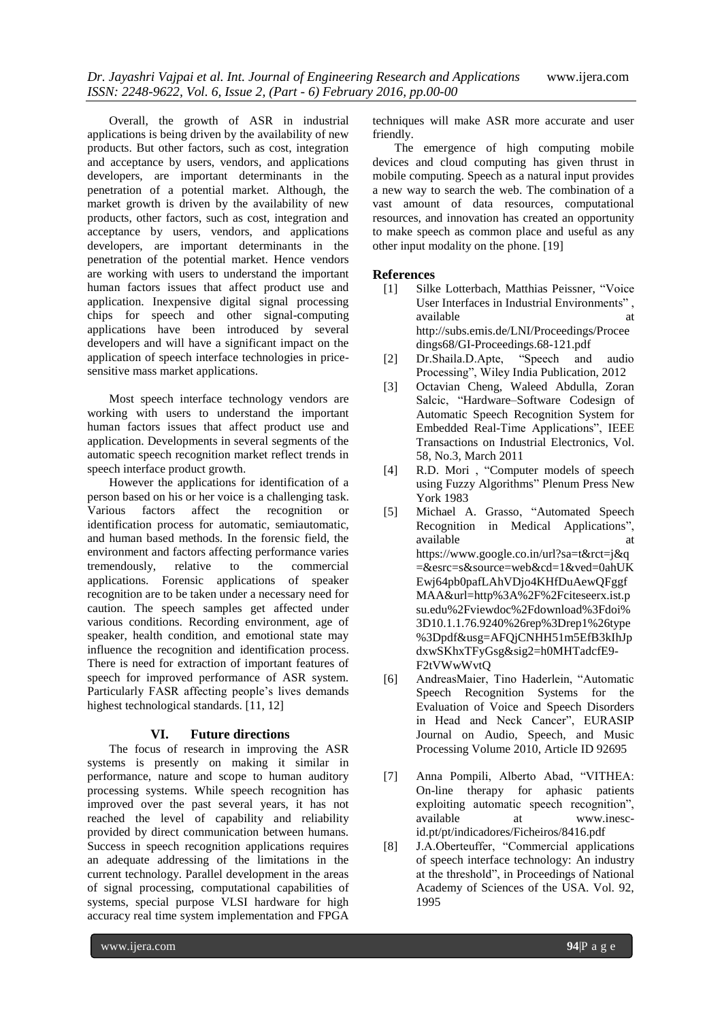Overall, the growth of ASR in industrial applications is being driven by the availability of new products. But other factors, such as cost, integration and acceptance by users, vendors, and applications developers, are important determinants in the penetration of a potential market. Although, the market growth is driven by the availability of new products, other factors, such as cost, integration and acceptance by users, vendors, and applications developers, are important determinants in the penetration of the potential market. Hence vendors are working with users to understand the important human factors issues that affect product use and application. Inexpensive digital signal processing chips for speech and other signal-computing applications have been introduced by several developers and will have a significant impact on the application of speech interface technologies in pricesensitive mass market applications.

Most speech interface technology vendors are working with users to understand the important human factors issues that affect product use and application. Developments in several segments of the automatic speech recognition market reflect trends in speech interface product growth.

However the applications for identification of a person based on his or her voice is a challenging task. Various factors affect the recognition or identification process for automatic, semiautomatic, and human based methods. In the forensic field, the environment and factors affecting performance varies<br>tremendously, relative to the commercial tremendously, relative to the applications. Forensic applications of speaker recognition are to be taken under a necessary need for caution. The speech samples get affected under various conditions. Recording environment, age of speaker, health condition, and emotional state may influence the recognition and identification process. There is need for extraction of important features of speech for improved performance of ASR system. Particularly FASR affecting people's lives demands highest technological standards. [11, 12]

# **VI. Future directions**

The focus of research in improving the ASR systems is presently on making it similar in performance, nature and scope to human auditory processing systems. While speech recognition has improved over the past several years, it has not reached the level of capability and reliability provided by direct communication between humans. Success in speech recognition applications requires an adequate addressing of the limitations in the current technology. Parallel development in the areas of signal processing, computational capabilities of systems, special purpose VLSI hardware for high accuracy real time system implementation and FPGA

techniques will make ASR more accurate and user friendly.

The emergence of high computing mobile devices and cloud computing has given thrust in mobile computing. Speech as a natural input provides a new way to search the web. The combination of a vast amount of data resources, computational resources, and innovation has created an opportunity to make speech as common place and useful as any other input modality on the phone. [19]

# **References**

- [1] Silke Lotterbach, Matthias Peissner, "Voice User Interfaces in Industrial Environments" , available at a state at a state at a state at a state at a state at a state at a state at a state at a state at  $\alpha$ http://subs.emis.de/LNI/Proceedings/Procee dings68/GI-Proceedings.68-121.pdf
- [2] Dr.Shaila.D.Apte, "Speech and audio Processing", Wiley India Publication, 2012
- [3] Octavian Cheng, Waleed Abdulla, Zoran Salcic, "Hardware–Software Codesign of Automatic Speech Recognition System for Embedded Real-Time Applications", IEEE Transactions on Industrial Electronics, Vol. 58, No.3, March 2011
- [4] R.D. Mori , "Computer models of speech using Fuzzy Algorithms" Plenum Press New York 1983
- [5] Michael A. Grasso, "Automated Speech Recognition in Medical Applications", available https://www.google.co.in/url?sa=t&rct=j&q =&esrc=s&source=web&cd=1&ved=0ahUK Ewj64pb0pafLAhVDjo4KHfDuAewQFggf MAA&url=http%3A%2F%2Fciteseerx.ist.p su.edu%2Fviewdoc%2Fdownload%3Fdoi% 3D10.1.1.76.9240%26rep%3Drep1%26type %3Dpdf&usg=AFQjCNHH51m5EfB3kIhJp dxwSKhxTFyGsg&sig2=h0MHTadcfE9- F2tVWwWvtQ
- [6] AndreasMaier, Tino Haderlein, "Automatic Speech Recognition Systems for the Evaluation of Voice and Speech Disorders in Head and Neck Cancer", EURASIP Journal on Audio, Speech, and Music Processing Volume 2010, Article ID 92695
- [7] Anna Pompili, Alberto Abad, "VITHEA: On-line therapy for aphasic patients exploiting automatic speech recognition", available at www.inescid.pt/pt/indicadores/Ficheiros/8416.pdf
- [8] J.A.Oberteuffer, "Commercial applications of speech interface technology: An industry at the threshold", in Proceedings of National Academy of Sciences of the USA. Vol. 92, 1995